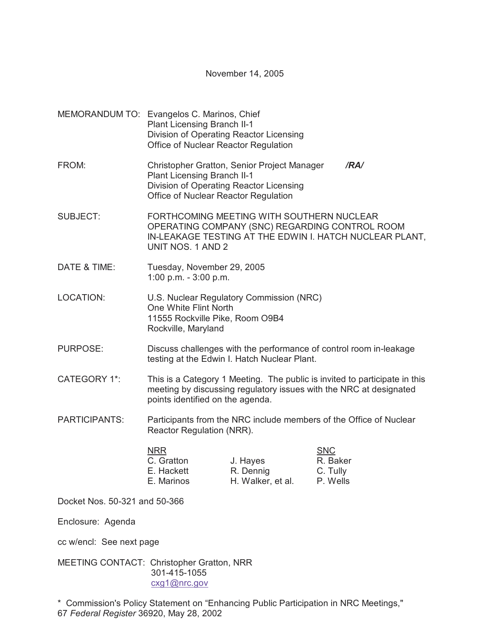November 14, 2005

MEMORANDUM TO: Evangelos C. Marinos, Chief Plant Licensing Branch II-1 Division of Operating Reactor Licensing Office of Nuclear Reactor Regulation FROM: Christopher Gratton, Senior Project Manager */RA/* Plant Licensing Branch II-1 Division of Operating Reactor Licensing Office of Nuclear Reactor Regulation SUBJECT: FORTHCOMING MEETING WITH SOUTHERN NUCLEAR OPERATING COMPANY (SNC) REGARDING CONTROL ROOM IN-LEAKAGE TESTING AT THE EDWIN I. HATCH NUCLEAR PLANT, UNIT NOS. 1 AND 2 DATE & TIME: Tuesday, November 29, 2005 1:00 p.m. - 3:00 p.m. LOCATION: U.S. Nuclear Regulatory Commission (NRC) One White Flint North 11555 Rockville Pike, Room O9B4 Rockville, Maryland PURPOSE: Discuss challenges with the performance of control room in-leakage testing at the Edwin I. Hatch Nuclear Plant. CATEGORY 1\*: This is a Category 1 Meeting. The public is invited to participate in this meeting by discussing regulatory issues with the NRC at designated points identified on the agenda. PARTICIPANTS: Participants from the NRC include members of the Office of Nuclear Reactor Regulation (NRR). NRR SNC C. Gratton J. Hayes R. Baker E. Hackett R. Dennig C. Tully E. Marinos H. Walker, et al. P. Wells Docket Nos. 50-321 and 50-366

Enclosure: Agenda

cc w/encl: See next page

MEETING CONTACT: Christopher Gratton, NRR 301-415-1055 cxg1@nrc.gov

\* Commission's Policy Statement on "Enhancing Public Participation in NRC Meetings," 67 *Federal Register* 36920, May 28, 2002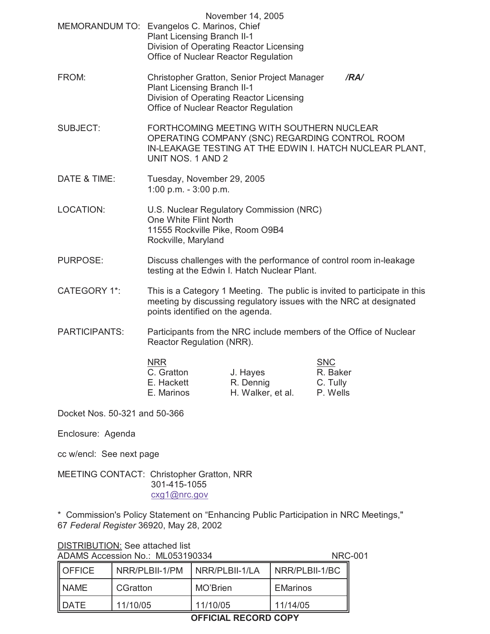|                     | November 14, 2005<br>MEMORANDUM TO: Evangelos C. Marinos, Chief<br><b>Plant Licensing Branch II-1</b><br>Division of Operating Reactor Licensing<br>Office of Nuclear Reactor Regulation |
|---------------------|------------------------------------------------------------------------------------------------------------------------------------------------------------------------------------------|
| FROM:               | Christopher Gratton, Senior Project Manager<br>/RA/<br><b>Plant Licensing Branch II-1</b><br>Division of Operating Reactor Licensing<br>Office of Nuclear Reactor Regulation             |
| <b>SUBJECT:</b>     | FORTHCOMING MEETING WITH SOUTHERN NUCLEAR<br>OPERATING COMPANY (SNC) REGARDING CONTROL ROOM<br>IN-LEAKAGE TESTING AT THE EDWIN I. HATCH NUCLEAR PLANT,<br>UNIT NOS. 1 AND 2              |
| DATE & TIME:        | Tuesday, November 29, 2005<br>1:00 p.m. - $3:00$ p.m.                                                                                                                                    |
| <b>LOCATION:</b>    | U.S. Nuclear Regulatory Commission (NRC)<br>One White Flint North<br>11555 Rockville Pike, Room O9B4<br>Rockville, Maryland                                                              |
| <b>PURPOSE:</b>     | Discuss challenges with the performance of control room in-leakage<br>testing at the Edwin I. Hatch Nuclear Plant.                                                                       |
| <b>CATEGORY 1*:</b> | This is a Category 1 Meeting. The public is invited to participate in this<br>meeting by discussing regulatory issues with the NRC at designated<br>points identified on the agenda.     |
| DADTICIDANITO.      | Dorticipante from the NDC include members of the Office of Nuclear                                                                                                                       |

PARTICIPANTS: Participants from the NRC include members of the Office of Nuclear Reactor Regulation (NRR).

| <b>NRR</b> |                   | <b>SNC</b> |
|------------|-------------------|------------|
| C. Gratton | J. Hayes          | R. Baker   |
| E. Hackett | R. Dennig         | C. Tully   |
| E. Marinos | H. Walker, et al. | P. Wells   |
|            |                   |            |

Docket Nos. 50-321 and 50-366

Enclosure: Agenda

cc w/encl: See next page

MEETING CONTACT: Christopher Gratton, NRR 301-415-1055 cxg1@nrc.gov

\* Commission's Policy Statement on "Enhancing Public Participation in NRC Meetings," 67 *Federal Register* 36920, May 28, 2002

| DATE                            | 11/10/05       | 11/10/05       | 11/14/05        |  |
|---------------------------------|----------------|----------------|-----------------|--|
| <b>INAME</b>                    | CGratton       | MO'Brien       | <b>EMarinos</b> |  |
| <b>OFFICE</b>                   | NRR/PLBII-1/PM | NRR/PLBII-1/LA | NRR/PLBII-1/BC  |  |
| ADAMS ACCESSION NO MLUSS 190334 |                |                | INRU-U          |  |

## DISTRIBUTION: See attached list <u>BIOTANDO (1911)</u><br>ADAMS Accession No<sup>.</sup> ML053190334 NRC-001

**OFFICIAL RECORD COPY**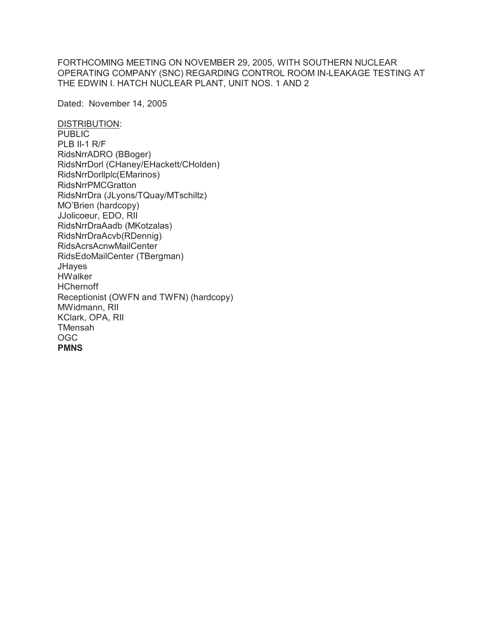FORTHCOMING MEETING ON NOVEMBER 29, 2005, WITH SOUTHERN NUCLEAR OPERATING COMPANY (SNC) REGARDING CONTROL ROOM IN-LEAKAGE TESTING AT THE EDWIN I. HATCH NUCLEAR PLANT, UNIT NOS. 1 AND 2

Dated: November 14, 2005

DISTRIBUTION: PUBLIC PLB II-1 R/F RidsNrrADRO (BBoger) RidsNrrDorl (CHaney/EHackett/CHolden) RidsNrrDorllplc(EMarinos) RidsNrrPMCGratton RidsNrrDra (JLyons/TQuay/MTschiltz) MO'Brien (hardcopy) JJolicoeur, EDO, RII RidsNrrDraAadb (MKotzalas) RidsNrrDraAcvb(RDennig) RidsAcrsAcnwMailCenter RidsEdoMailCenter (TBergman) **JHayes HWalker HChernoff** Receptionist (OWFN and TWFN) (hardcopy) MWidmann, RII KClark, OPA, RII TMensah OGC **PMNS**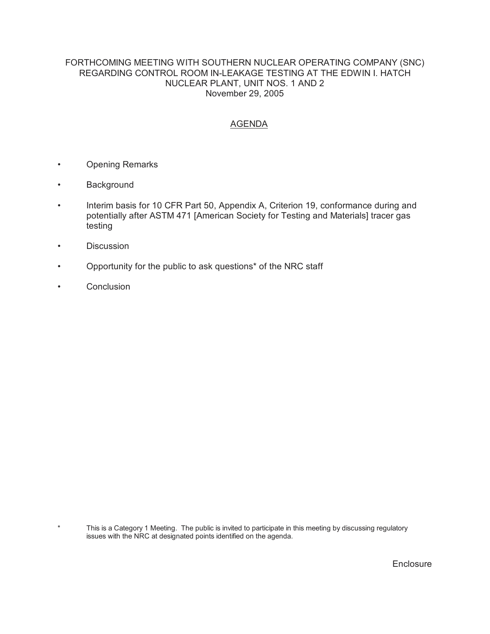## FORTHCOMING MEETING WITH SOUTHERN NUCLEAR OPERATING COMPANY (SNC) REGARDING CONTROL ROOM IN-LEAKAGE TESTING AT THE EDWIN I. HATCH NUCLEAR PLANT, UNIT NOS. 1 AND 2 November 29, 2005

## AGENDA

- Opening Remarks
- Background
- Interim basis for 10 CFR Part 50, Appendix A, Criterion 19, conformance during and potentially after ASTM 471 [American Society for Testing and Materials] tracer gas testing
- Discussion
- Opportunity for the public to ask questions\* of the NRC staff
- Conclusion

This is a Category 1 Meeting. The public is invited to participate in this meeting by discussing regulatory issues with the NRC at designated points identified on the agenda.